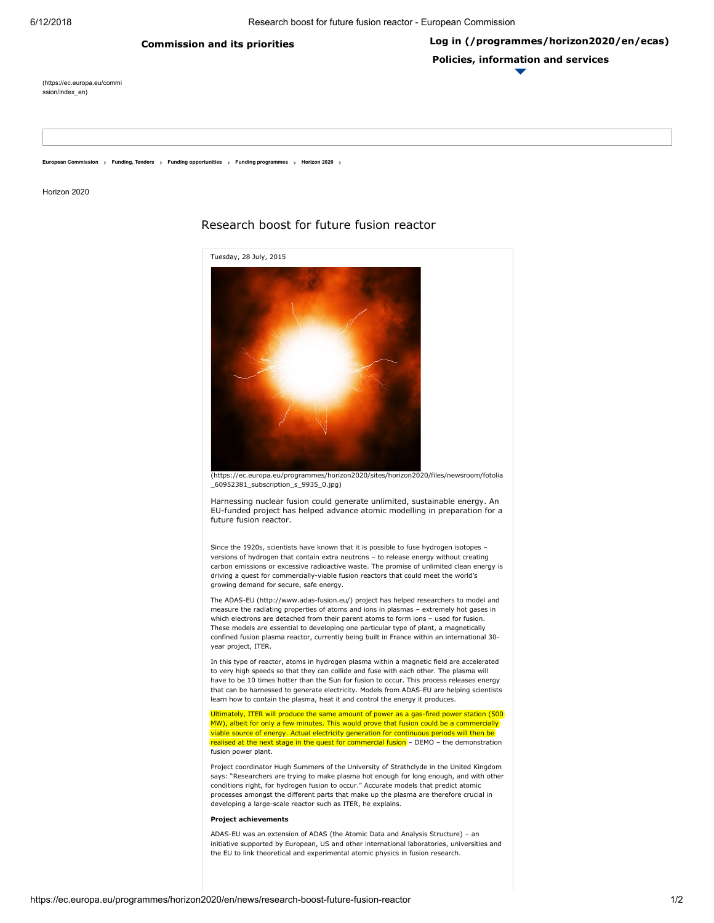## [Commission](https://ec.europa.eu/commission/index) and its priorities

[\(https://ec.europa.eu/commi](https://ec.europa.eu/commission/index_en) ssion/index\_en)

European [Commission](http://ec.europa.eu/index_en.htm) [Funding,](https://ec.europa.eu/info/funding-tenders_en) Tenders Funding [opportunities](https://ec.europa.eu/info/funding-tenders/funding-opportunities_en) Funding [programmes](https://ec.europa.eu/info/funding-tenders/funding-opportunities/funding-programmes_en) [Horizon](https://ec.europa.eu/programmes/horizon2020/en) 2020

Horizon 2020





[\(https://ec.europa.eu/programmes/horizon2020/sites/horizon2020/files/newsroom/fotolia](https://ec.europa.eu/programmes/horizon2020/sites/horizon2020/files/newsroom/fotolia_60952381_subscription_s_9935_0.jpg) \_60952381\_subscription\_s\_9935\_0.jpg)

Harnessing nuclear fusion could generate unlimited, sustainable energy. An EU-funded project has helped advance atomic modelling in preparation for a future fusion reactor.

Since the 1920s, scientists have known that it is possible to fuse hydrogen isotopes – versions of hydrogen that contain extra neutrons – to release energy without creating carbon emissions or excessive radioactive waste. The promise of unlimited clean energy is driving a quest for commercially-viable fusion reactors that could meet the world's growing demand for secure, safe energy.

The ADAS-EU [\(http://www.adas-fusion.eu/\)](http://www.adas-fusion.eu/) project has helped researchers to model and measure the radiating properties of atoms and ions in plasmas – extremely hot gases in which electrons are detached from their parent atoms to form ions – used for fusion. These models are essential to developing one particular type of plant, a magnetically confined fusion plasma reactor, currently being built in France within an international 30 year project, ITER.

In this type of reactor, atoms in hydrogen plasma within a magnetic field are accelerated to very high speeds so that they can collide and fuse with each other. The plasma will have to be 10 times hotter than the Sun for fusion to occur. This process releases energy that can be harnessed to generate electricity. Models from ADAS-EU are helping scientists learn how to contain the plasma, heat it and control the energy it produces.

Ultimately, ITER will produce the same amount of power as a gas-fired power station (500 MW), albeit for only a few minutes. This would prove that fusion could be a commercially viable source of energy. Actual electricity generation for continuous periods will then be realised at the next stage in the quest for commercial fusion – DEMO – the demonstration fusion power plant.

Project coordinator Hugh Summers of the University of Strathclyde in the United Kingdom says: "Researchers are trying to make plasma hot enough for long enough, and with other conditions right, for hydrogen fusion to occur." Accurate models that predict atomic processes amongst the different parts that make up the plasma are therefore crucial in developing a large-scale reactor such as ITER, he explains.

## Project achievements

ADAS-EU was an extension of ADAS (the Atomic Data and Analysis Structure) – an initiative supported by European, US and other international laboratories, universities and the EU to link theoretical and experimental atomic physics in fusion research.